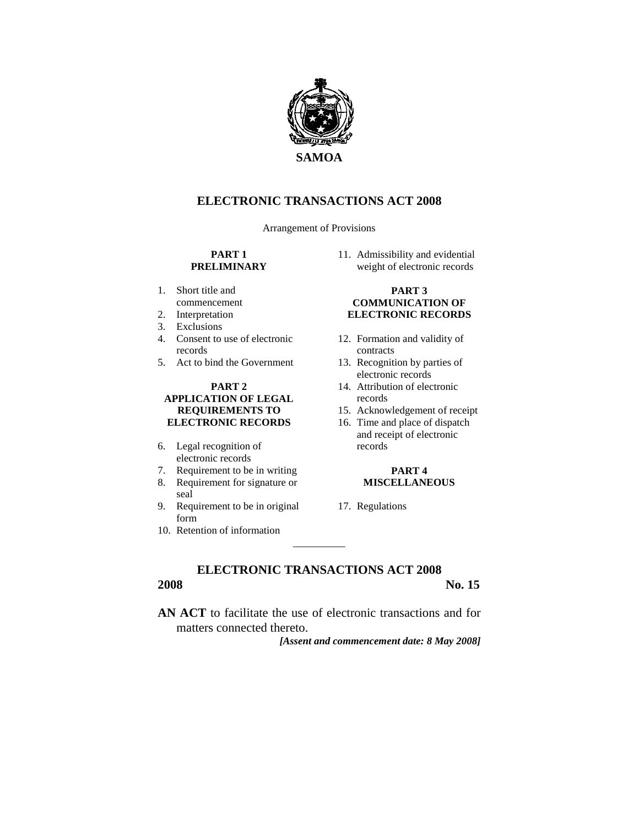

# **ELECTRONIC TRANSACTIONS ACT 2008**

Arrangement of Provisions

### **PART 1 PRELIMINARY**

- 1. Short title and commencement
- 2. Interpretation
- 3. Exclusions
- 4. Consent to use of electronic records
- 5. Act to bind the Government

### **PART 2 APPLICATION OF LEGAL REQUIREMENTS TO ELECTRONIC RECORDS**

- 6. Legal recognition of electronic records
- 7. Requirement to be in writing
- 8. Requirement for signature or seal
- 9. Requirement to be in original form
- 10. Retention of information

11. Admissibility and evidential weight of electronic records

#### **PART 3 COMMUNICATION OF ELECTRONIC RECORDS**

- 12. Formation and validity of contracts
- 13. Recognition by parties of electronic records
- 14. Attribution of electronic records
- 15. Acknowledgement of receipt
- 16. Time and place of dispatch and receipt of electronic records

#### **PART 4 MISCELLANEOUS**

17. Regulations

**ELECTRONIC TRANSACTIONS ACT 2008 2008** No. 15

 $\overline{\phantom{a}}$ 

**AN ACT** to facilitate the use of electronic transactions and for matters connected thereto.

*[Assent and commencement date: 8 May 2008]*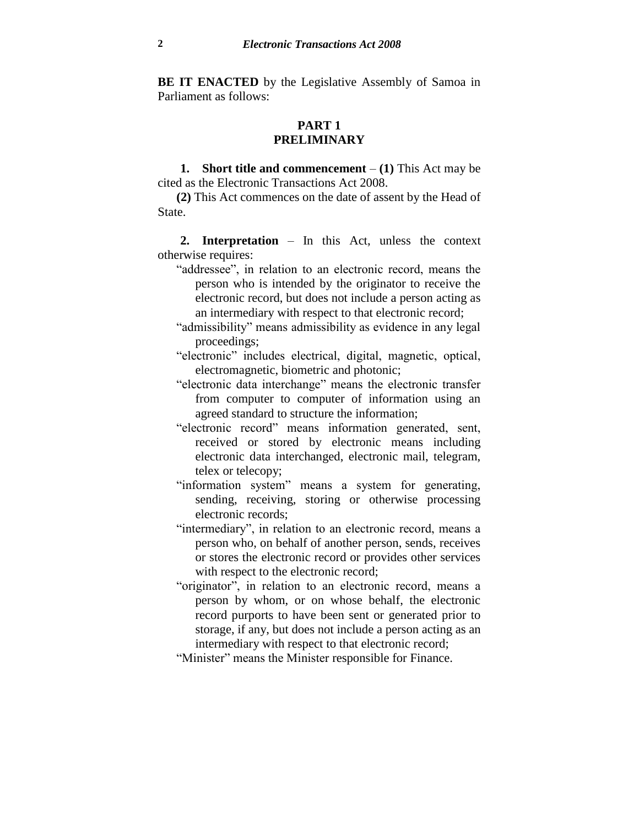**BE IT ENACTED** by the Legislative Assembly of Samoa in Parliament as follows:

## **PART 1 PRELIMINARY**

**1. Short title and commencement** – **(1)** This Act may be cited as the Electronic Transactions Act 2008.

**(2)** This Act commences on the date of assent by the Head of State.

**2. Interpretation** – In this Act, unless the context otherwise requires:

- "addressee", in relation to an electronic record, means the person who is intended by the originator to receive the electronic record, but does not include a person acting as an intermediary with respect to that electronic record;
- "admissibility" means admissibility as evidence in any legal proceedings;
- "electronic" includes electrical, digital, magnetic, optical, electromagnetic, biometric and photonic;
- "electronic data interchange" means the electronic transfer from computer to computer of information using an agreed standard to structure the information;
- "electronic record" means information generated, sent, received or stored by electronic means including electronic data interchanged, electronic mail, telegram, telex or telecopy;
- "information system" means a system for generating, sending, receiving, storing or otherwise processing electronic records;
- "intermediary", in relation to an electronic record, means a person who, on behalf of another person, sends, receives or stores the electronic record or provides other services with respect to the electronic record;
- "originator", in relation to an electronic record, means a person by whom, or on whose behalf, the electronic record purports to have been sent or generated prior to storage, if any, but does not include a person acting as an intermediary with respect to that electronic record;

"Minister" means the Minister responsible for Finance.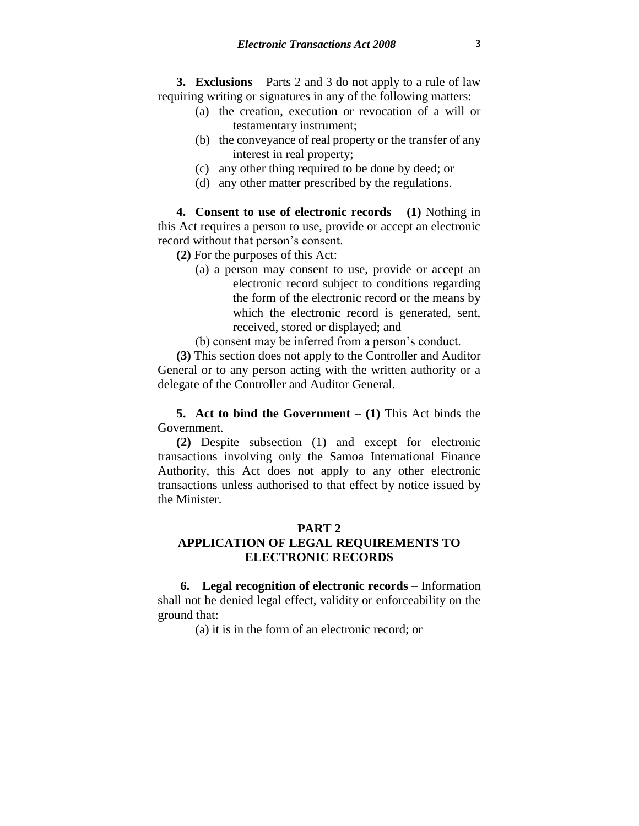**3. Exclusions** – Parts 2 and 3 do not apply to a rule of law requiring writing or signatures in any of the following matters:

- (a) the creation, execution or revocation of a will or testamentary instrument;
- (b) the conveyance of real property or the transfer of any interest in real property;
- (c) any other thing required to be done by deed; or
- (d) any other matter prescribed by the regulations.

**4. Consent to use of electronic records** – **(1)** Nothing in this Act requires a person to use, provide or accept an electronic record without that person's consent.

**(2)** For the purposes of this Act:

(a) a person may consent to use, provide or accept an electronic record subject to conditions regarding the form of the electronic record or the means by which the electronic record is generated, sent, received, stored or displayed; and

(b) consent may be inferred from a person's conduct.

**(3)** This section does not apply to the Controller and Auditor General or to any person acting with the written authority or a delegate of the Controller and Auditor General.

**5. Act to bind the Government** – **(1)** This Act binds the Government.

**(2)** Despite subsection (1) and except for electronic transactions involving only the Samoa International Finance Authority, this Act does not apply to any other electronic transactions unless authorised to that effect by notice issued by the Minister.

### **PART 2**

# **APPLICATION OF LEGAL REQUIREMENTS TO ELECTRONIC RECORDS**

**6. Legal recognition of electronic records** – Information shall not be denied legal effect, validity or enforceability on the ground that:

(a) it is in the form of an electronic record; or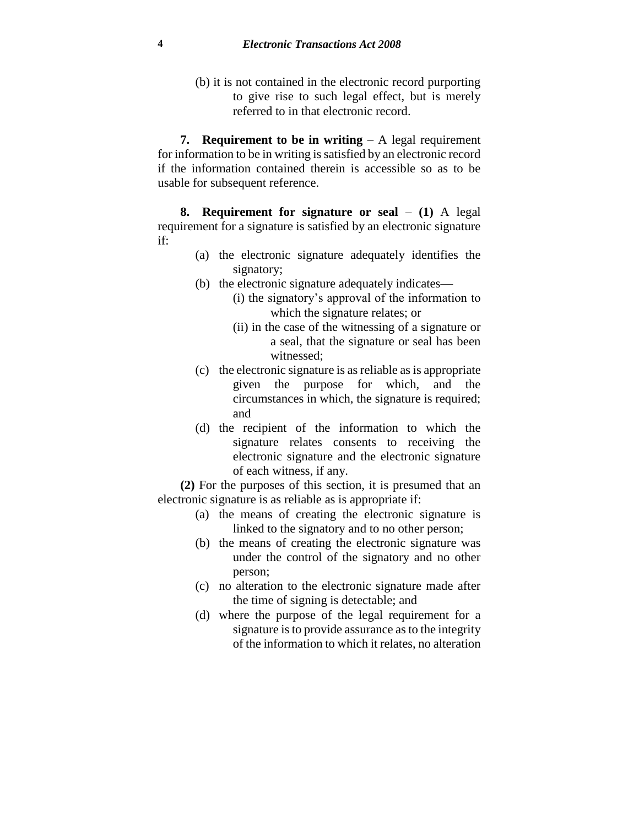(b) it is not contained in the electronic record purporting to give rise to such legal effect, but is merely referred to in that electronic record.

**7. Requirement to be in writing** – A legal requirement for information to be in writing is satisfied by an electronic record if the information contained therein is accessible so as to be usable for subsequent reference.

**8. Requirement for signature or seal** – **(1)** A legal requirement for a signature is satisfied by an electronic signature if:

- (a) the electronic signature adequately identifies the signatory;
- (b) the electronic signature adequately indicates—
	- (i) the signatory's approval of the information to which the signature relates; or
	- (ii) in the case of the witnessing of a signature or a seal, that the signature or seal has been witnessed;
- (c) the electronic signature is as reliable as is appropriate given the purpose for which, and the circumstances in which, the signature is required; and
- (d) the recipient of the information to which the signature relates consents to receiving the electronic signature and the electronic signature of each witness, if any.

**(2)** For the purposes of this section, it is presumed that an electronic signature is as reliable as is appropriate if:

- (a) the means of creating the electronic signature is linked to the signatory and to no other person;
- (b) the means of creating the electronic signature was under the control of the signatory and no other person;
- (c) no alteration to the electronic signature made after the time of signing is detectable; and
- (d) where the purpose of the legal requirement for a signature is to provide assurance as to the integrity of the information to which it relates, no alteration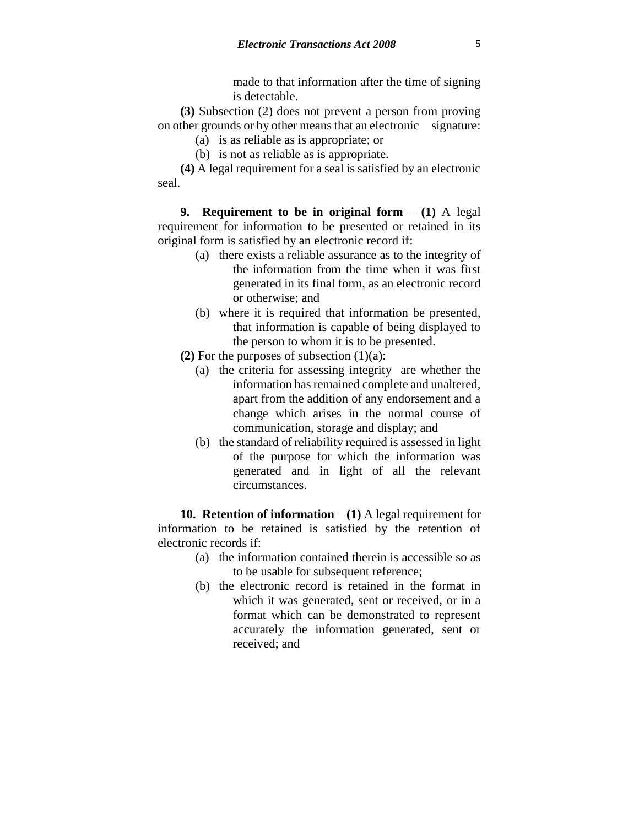made to that information after the time of signing is detectable.

**(3)** Subsection (2) does not prevent a person from proving on other grounds or by other means that an electronic signature:

- (a) is as reliable as is appropriate; or
- (b) is not as reliable as is appropriate.

**(4)** A legal requirement for a seal is satisfied by an electronic seal.

**9. Requirement to be in original form** – **(1)** A legal requirement for information to be presented or retained in its original form is satisfied by an electronic record if:

- (a) there exists a reliable assurance as to the integrity of the information from the time when it was first generated in its final form, as an electronic record or otherwise; and
- (b) where it is required that information be presented, that information is capable of being displayed to the person to whom it is to be presented.
- **(2)** For the purposes of subsection (1)(a):
	- (a) the criteria for assessing integrity are whether the information has remained complete and unaltered, apart from the addition of any endorsement and a change which arises in the normal course of communication, storage and display; and
	- (b) the standard of reliability required is assessed in light of the purpose for which the information was generated and in light of all the relevant circumstances.

**10. Retention of information** – **(1)** A legal requirement for information to be retained is satisfied by the retention of electronic records if:

- (a) the information contained therein is accessible so as to be usable for subsequent reference;
- (b) the electronic record is retained in the format in which it was generated, sent or received, or in a format which can be demonstrated to represent accurately the information generated, sent or received; and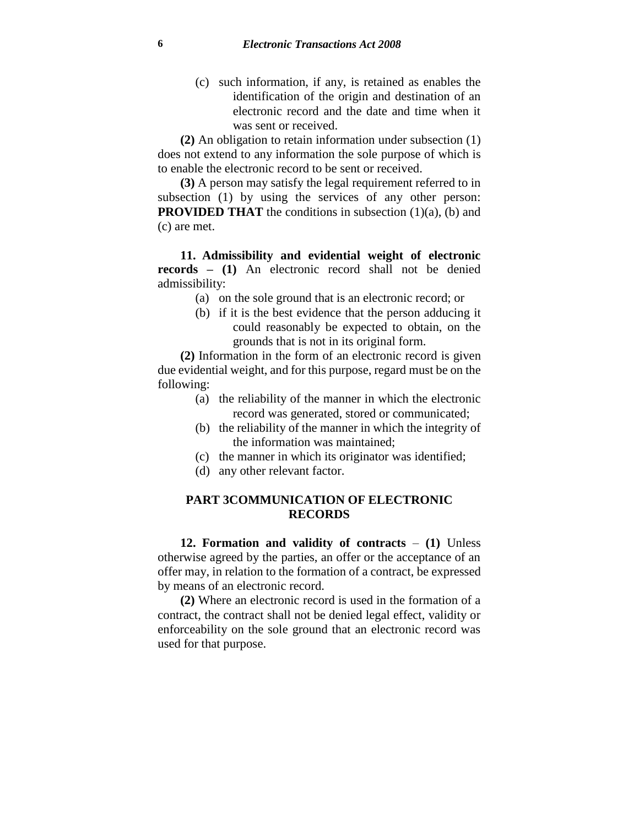(c) such information, if any, is retained as enables the identification of the origin and destination of an electronic record and the date and time when it was sent or received.

**(2)** An obligation to retain information under subsection (1) does not extend to any information the sole purpose of which is to enable the electronic record to be sent or received.

**(3)** A person may satisfy the legal requirement referred to in subsection (1) by using the services of any other person: **PROVIDED THAT** the conditions in subsection (1)(a), (b) and (c) are met.

**11. Admissibility and evidential weight of electronic records – (1)** An electronic record shall not be denied admissibility:

- (a) on the sole ground that is an electronic record; or
- (b) if it is the best evidence that the person adducing it could reasonably be expected to obtain, on the grounds that is not in its original form.

**(2)** Information in the form of an electronic record is given due evidential weight, and for this purpose, regard must be on the following:

- (a) the reliability of the manner in which the electronic record was generated, stored or communicated;
- (b) the reliability of the manner in which the integrity of the information was maintained;
- (c) the manner in which its originator was identified;
- (d) any other relevant factor.

## **PART 3COMMUNICATION OF ELECTRONIC RECORDS**

**12. Formation and validity of contracts** – **(1)** Unless otherwise agreed by the parties, an offer or the acceptance of an offer may, in relation to the formation of a contract, be expressed by means of an electronic record.

**(2)** Where an electronic record is used in the formation of a contract, the contract shall not be denied legal effect, validity or enforceability on the sole ground that an electronic record was used for that purpose.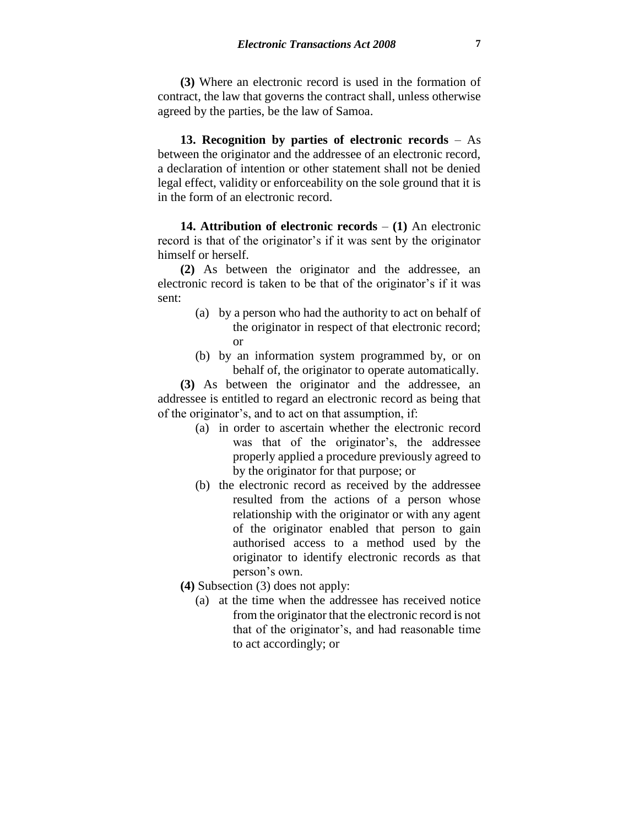**(3)** Where an electronic record is used in the formation of contract, the law that governs the contract shall, unless otherwise agreed by the parties, be the law of Samoa.

**13. Recognition by parties of electronic records** – As between the originator and the addressee of an electronic record, a declaration of intention or other statement shall not be denied legal effect, validity or enforceability on the sole ground that it is in the form of an electronic record.

**14. Attribution of electronic records** – **(1)** An electronic record is that of the originator's if it was sent by the originator himself or herself.

**(2)** As between the originator and the addressee, an electronic record is taken to be that of the originator's if it was sent:

- (a) by a person who had the authority to act on behalf of the originator in respect of that electronic record; or
- (b) by an information system programmed by, or on behalf of, the originator to operate automatically.

**(3)** As between the originator and the addressee, an addressee is entitled to regard an electronic record as being that of the originator's, and to act on that assumption, if:

- (a) in order to ascertain whether the electronic record was that of the originator's, the addressee properly applied a procedure previously agreed to by the originator for that purpose; or
- (b) the electronic record as received by the addressee resulted from the actions of a person whose relationship with the originator or with any agent of the originator enabled that person to gain authorised access to a method used by the originator to identify electronic records as that person's own.
- **(4)** Subsection (3) does not apply:
	- (a) at the time when the addressee has received notice from the originator that the electronic record is not that of the originator's, and had reasonable time to act accordingly; or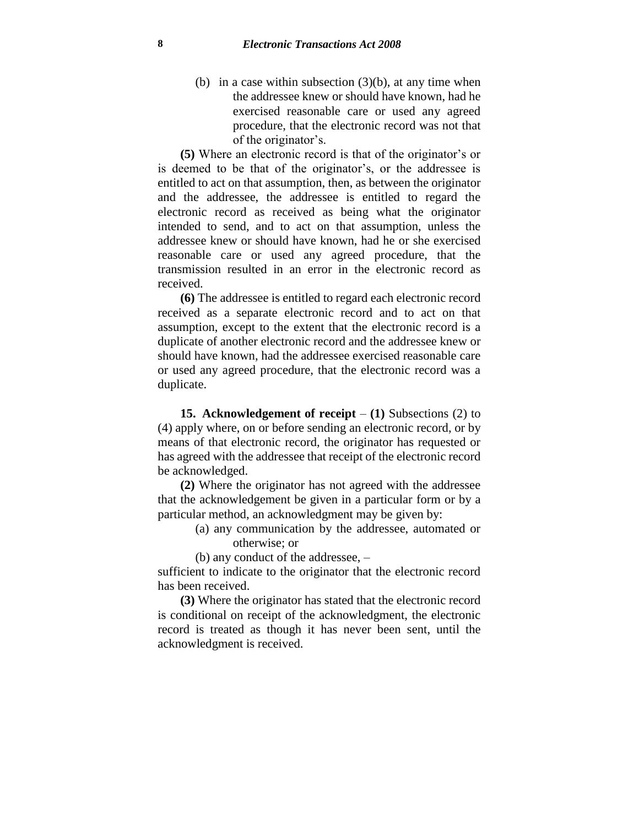(b) in a case within subsection  $(3)(b)$ , at any time when the addressee knew or should have known, had he exercised reasonable care or used any agreed procedure, that the electronic record was not that of the originator's.

**(5)** Where an electronic record is that of the originator's or is deemed to be that of the originator's, or the addressee is entitled to act on that assumption, then, as between the originator and the addressee, the addressee is entitled to regard the electronic record as received as being what the originator intended to send, and to act on that assumption, unless the addressee knew or should have known, had he or she exercised reasonable care or used any agreed procedure, that the transmission resulted in an error in the electronic record as received.

**(6)** The addressee is entitled to regard each electronic record received as a separate electronic record and to act on that assumption, except to the extent that the electronic record is a duplicate of another electronic record and the addressee knew or should have known, had the addressee exercised reasonable care or used any agreed procedure, that the electronic record was a duplicate.

**15. Acknowledgement of receipt** – **(1)** Subsections (2) to (4) apply where, on or before sending an electronic record, or by means of that electronic record, the originator has requested or has agreed with the addressee that receipt of the electronic record be acknowledged.

**(2)** Where the originator has not agreed with the addressee that the acknowledgement be given in a particular form or by a particular method, an acknowledgment may be given by:

> (a) any communication by the addressee, automated or otherwise; or

(b) any conduct of the addressee, –

sufficient to indicate to the originator that the electronic record has been received.

**(3)** Where the originator has stated that the electronic record is conditional on receipt of the acknowledgment, the electronic record is treated as though it has never been sent, until the acknowledgment is received.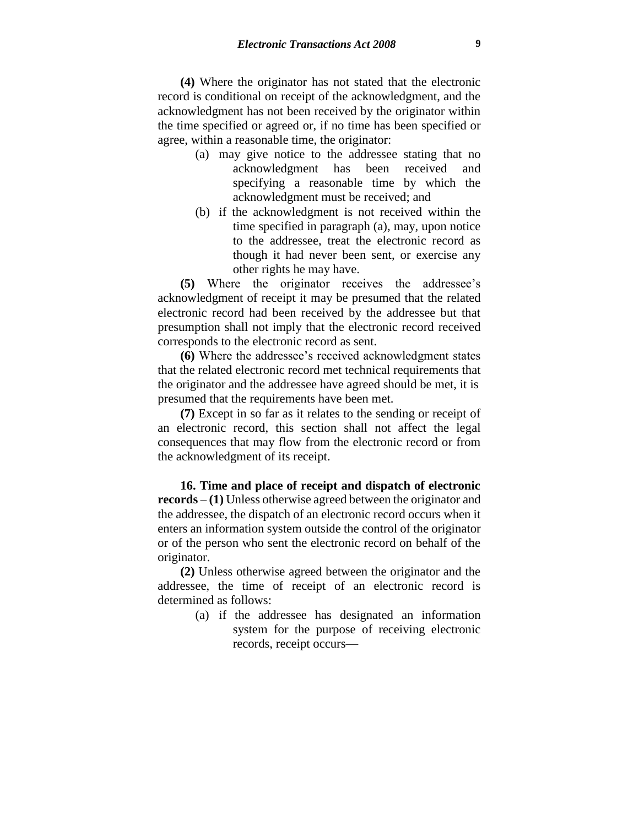**(4)** Where the originator has not stated that the electronic record is conditional on receipt of the acknowledgment, and the acknowledgment has not been received by the originator within the time specified or agreed or, if no time has been specified or agree, within a reasonable time, the originator:

- (a) may give notice to the addressee stating that no acknowledgment has been received and specifying a reasonable time by which the acknowledgment must be received; and
- (b) if the acknowledgment is not received within the time specified in paragraph (a), may, upon notice to the addressee, treat the electronic record as though it had never been sent, or exercise any other rights he may have.

**(5)** Where the originator receives the addressee's acknowledgment of receipt it may be presumed that the related electronic record had been received by the addressee but that presumption shall not imply that the electronic record received corresponds to the electronic record as sent.

**(6)** Where the addressee's received acknowledgment states that the related electronic record met technical requirements that the originator and the addressee have agreed should be met, it is presumed that the requirements have been met.

**(7)** Except in so far as it relates to the sending or receipt of an electronic record, this section shall not affect the legal consequences that may flow from the electronic record or from the acknowledgment of its receipt.

**16. Time and place of receipt and dispatch of electronic records** – **(1)** Unless otherwise agreed between the originator and the addressee, the dispatch of an electronic record occurs when it enters an information system outside the control of the originator or of the person who sent the electronic record on behalf of the originator.

**(2)** Unless otherwise agreed between the originator and the addressee, the time of receipt of an electronic record is determined as follows:

> (a) if the addressee has designated an information system for the purpose of receiving electronic records, receipt occurs—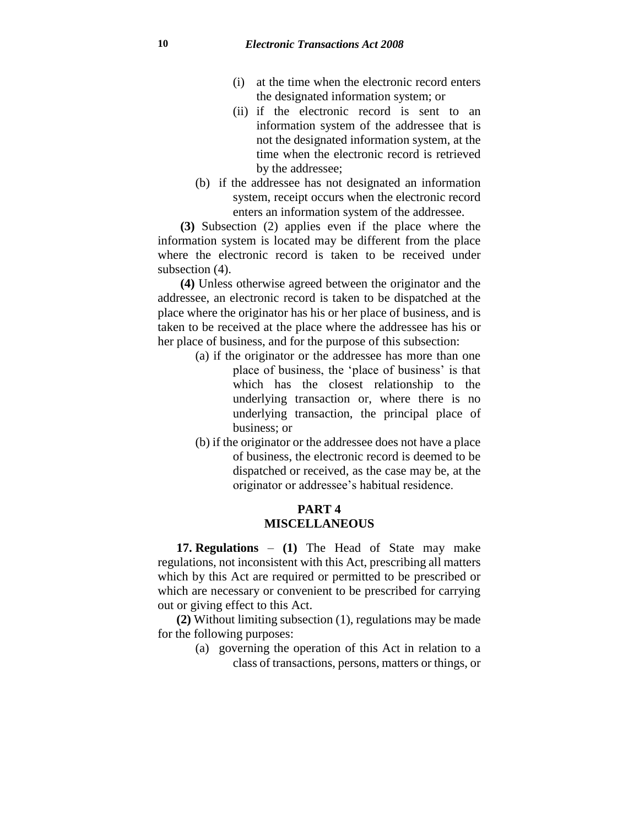- (i) at the time when the electronic record enters the designated information system; or
- (ii) if the electronic record is sent to an information system of the addressee that is not the designated information system, at the time when the electronic record is retrieved by the addressee;
- (b) if the addressee has not designated an information system, receipt occurs when the electronic record enters an information system of the addressee.

**(3)** Subsection (2) applies even if the place where the information system is located may be different from the place where the electronic record is taken to be received under subsection (4).

**(4)** Unless otherwise agreed between the originator and the addressee, an electronic record is taken to be dispatched at the place where the originator has his or her place of business, and is taken to be received at the place where the addressee has his or her place of business, and for the purpose of this subsection:

- (a) if the originator or the addressee has more than one place of business, the 'place of business' is that which has the closest relationship to the underlying transaction or, where there is no underlying transaction, the principal place of business; or
- (b) if the originator or the addressee does not have a place of business, the electronic record is deemed to be dispatched or received, as the case may be, at the originator or addressee's habitual residence.

### **PART 4 MISCELLANEOUS**

**17. Regulations** – **(1)** The Head of State may make regulations, not inconsistent with this Act, prescribing all matters which by this Act are required or permitted to be prescribed or which are necessary or convenient to be prescribed for carrying out or giving effect to this Act.

**(2)** Without limiting subsection (1), regulations may be made for the following purposes:

> (a) governing the operation of this Act in relation to a class of transactions, persons, matters or things, or